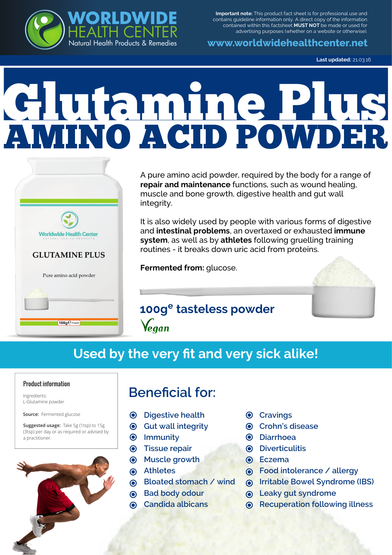

**www.worldwidehealthcenter.net**

**Last updated:** 21.03.16

# AMINO ACID POWDER Glutamine Plus

**WORLDWIDE**

Natural Health Products & Remedies HEALTH CENTER



100g Powder

A pure amino acid powder, required by the body for a range of **repair and maintenance** functions, such as wound healing, muscle and bone growth, digestive health and gut wall integrity.

It is also widely used by people with various forms of digestive and **intestinal problems**, an overtaxed or exhausted **immune system**, as well as by **athletes** following gruelling training routines - it breaks down uric acid from proteins.

**Fermented from:** glucose.



**100g<sup>e</sup> tasteless powder** Vegan

# **Used by the very fit and very sick alike!**

#### Product information

Ingredients: L-Glutamine powder

**Source:** Fermented glucose

**Suggested usage:** Take 5g (1tsp) to 15g (3tsp) per day or as required or advised by a practitioner.

# **Beneficial for:**

- **Digestive health**
- **Gut wall integrity**
- **Immunity**
- **Tissue repair**
- **Muscle growth**
- **Athletes**
- **Bloated stomach / wind**
- **Bad body odour**
- **Candida albicans**
- **Cravings**
- **Crohn's disease**
- **Diarrhoea**
- **Diverticulitis**
- **Eczema**
- **Food intolerance / allergy**
- **Irritable Bowel Syndrome (IBS)**
- **Leaky gut syndrome**
- **Recuperation following illness**